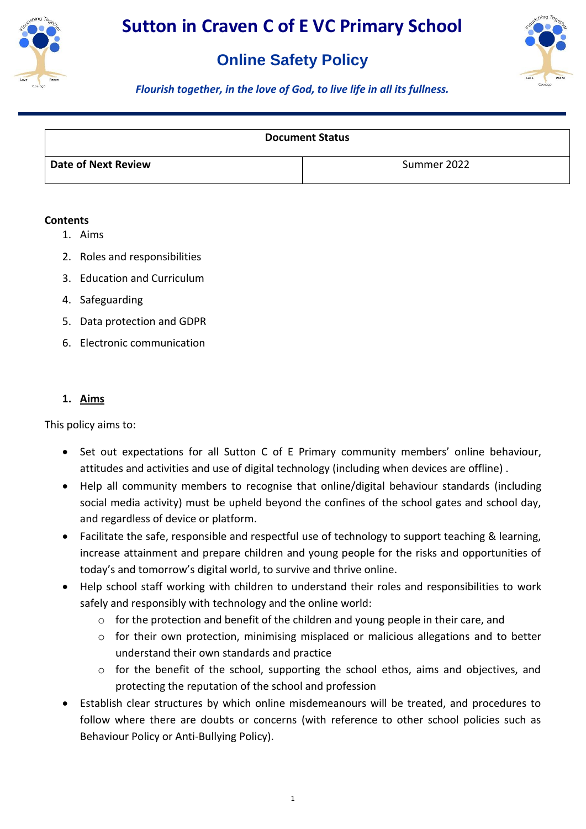

## **Online Safety Policy**



*Flourish together, in the love of God, to live life in all its fullness.*

| <b>Document Status</b> |             |
|------------------------|-------------|
| Date of Next Review    | Summer 2022 |

#### **Contents**

- 1. Aims
- 2. Roles and responsibilities
- 3. Education and Curriculum
- 4. Safeguarding
- 5. Data protection and GDPR
- 6. Electronic communication

#### **1. Aims**

This policy aims to:

- Set out expectations for all Sutton C of E Primary community members' online behaviour, attitudes and activities and use of digital technology (including when devices are offline) .
- Help all community members to recognise that online/digital behaviour standards (including social media activity) must be upheld beyond the confines of the school gates and school day, and regardless of device or platform.
- Facilitate the safe, responsible and respectful use of technology to support teaching & learning, increase attainment and prepare children and young people for the risks and opportunities of today's and tomorrow's digital world, to survive and thrive online.
- Help school staff working with children to understand their roles and responsibilities to work safely and responsibly with technology and the online world:
	- $\circ$  for the protection and benefit of the children and young people in their care, and
	- $\circ$  for their own protection, minimising misplaced or malicious allegations and to better understand their own standards and practice
	- $\circ$  for the benefit of the school, supporting the school ethos, aims and objectives, and protecting the reputation of the school and profession
- Establish clear structures by which online misdemeanours will be treated, and procedures to follow where there are doubts or concerns (with reference to other school policies such as Behaviour Policy or Anti-Bullying Policy).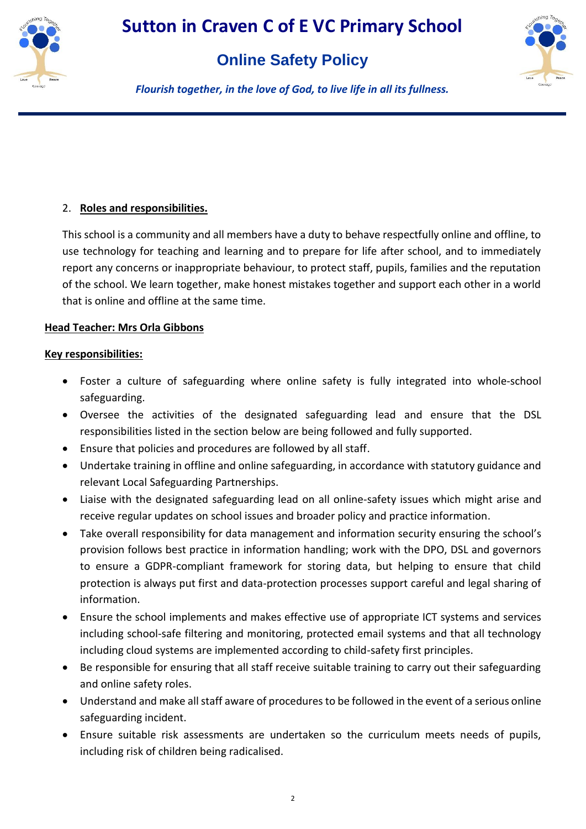

## **Online Safety Policy**



*Flourish together, in the love of God, to live life in all its fullness.*

## 2. **Roles and responsibilities.**

This school is a community and all members have a duty to behave respectfully online and offline, to use technology for teaching and learning and to prepare for life after school, and to immediately report any concerns or inappropriate behaviour, to protect staff, pupils, families and the reputation of the school. We learn together, make honest mistakes together and support each other in a world that is online and offline at the same time.

## **Head Teacher: Mrs Orla Gibbons**

- Foster a culture of safeguarding where online safety is fully integrated into whole-school safeguarding.
- Oversee the activities of the designated safeguarding lead and ensure that the DSL responsibilities listed in the section below are being followed and fully supported.
- Ensure that policies and procedures are followed by all staff.
- Undertake training in offline and online safeguarding, in accordance with statutory guidance and relevant Local Safeguarding Partnerships.
- Liaise with the designated safeguarding lead on all online-safety issues which might arise and receive regular updates on school issues and broader policy and practice information.
- Take overall responsibility for data management and information security ensuring the school's provision follows best practice in information handling; work with the DPO, DSL and governors to ensure a GDPR-compliant framework for storing data, but helping to ensure that child protection is always put first and data-protection processes support careful and legal sharing of information.
- Ensure the school implements and makes effective use of appropriate ICT systems and services including school-safe filtering and monitoring, protected email systems and that all technology including cloud systems are implemented according to child-safety first principles.
- Be responsible for ensuring that all staff receive suitable training to carry out their safeguarding and online safety roles.
- Understand and make all staff aware of procedures to be followed in the event of a serious online safeguarding incident.
- Ensure suitable risk assessments are undertaken so the curriculum meets needs of pupils, including risk of children being radicalised.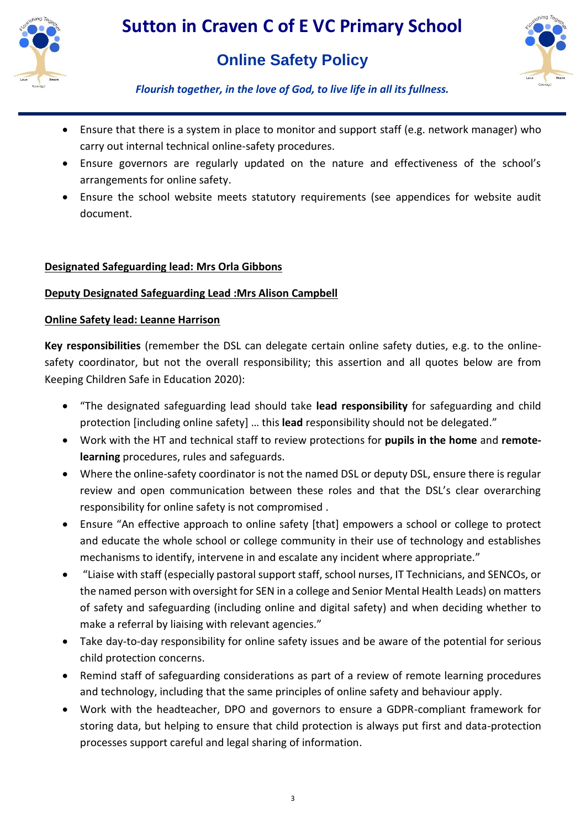



*Flourish together, in the love of God, to live life in all its fullness.*

- Ensure that there is a system in place to monitor and support staff (e.g. network manager) who carry out internal technical online-safety procedures.
- Ensure governors are regularly updated on the nature and effectiveness of the school's arrangements for online safety.
- Ensure the school website meets statutory requirements (see appendices for website audit document.

## **Designated Safeguarding lead: Mrs Orla Gibbons**

## **Deputy Designated Safeguarding Lead :Mrs Alison Campbell**

#### **Online Safety lead: Leanne Harrison**

**Key responsibilities** (remember the DSL can delegate certain online safety duties, e.g. to the onlinesafety coordinator, but not the overall responsibility; this assertion and all quotes below are from Keeping Children Safe in Education 2020):

- "The designated safeguarding lead should take **lead responsibility** for safeguarding and child protection [including online safety] … this **lead** responsibility should not be delegated."
- Work with the HT and technical staff to review protections for **pupils in the home** and **remotelearning** procedures, rules and safeguards.
- Where the online-safety coordinator is not the named DSL or deputy DSL, ensure there is regular review and open communication between these roles and that the DSL's clear overarching responsibility for online safety is not compromised .
- Ensure "An effective approach to online safety [that] empowers a school or college to protect and educate the whole school or college community in their use of technology and establishes mechanisms to identify, intervene in and escalate any incident where appropriate."
- "Liaise with staff (especially pastoral support staff, school nurses, IT Technicians, and SENCOs, or the named person with oversight for SEN in a college and Senior Mental Health Leads) on matters of safety and safeguarding (including online and digital safety) and when deciding whether to make a referral by liaising with relevant agencies."
- Take day-to-day responsibility for online safety issues and be aware of the potential for serious child protection concerns.
- Remind staff of safeguarding considerations as part of a review of remote learning procedures and technology, including that the same principles of online safety and behaviour apply.
- Work with the headteacher, DPO and governors to ensure a GDPR-compliant framework for storing data, but helping to ensure that child protection is always put first and data-protection processes support careful and legal sharing of information.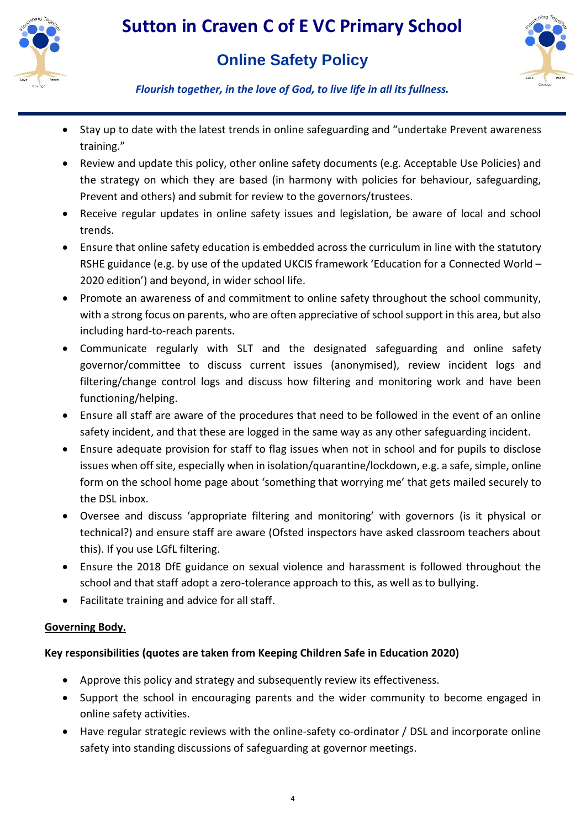



*Flourish together, in the love of God, to live life in all its fullness.*

- Stay up to date with the latest trends in online safeguarding and "undertake Prevent awareness training."
- Review and update this policy, other online safety documents (e.g. Acceptable Use Policies) and the strategy on which they are based (in harmony with policies for behaviour, safeguarding, Prevent and others) and submit for review to the governors/trustees.
- Receive regular updates in online safety issues and legislation, be aware of local and school trends.
- Ensure that online safety education is embedded across the curriculum in line with the statutory RSHE guidance (e.g. by use of the updated UKCIS framework 'Education for a Connected World – 2020 edition') and beyond, in wider school life.
- Promote an awareness of and commitment to online safety throughout the school community, with a strong focus on parents, who are often appreciative of school support in this area, but also including hard-to-reach parents.
- Communicate regularly with SLT and the designated safeguarding and online safety governor/committee to discuss current issues (anonymised), review incident logs and filtering/change control logs and discuss how filtering and monitoring work and have been functioning/helping.
- Ensure all staff are aware of the procedures that need to be followed in the event of an online safety incident, and that these are logged in the same way as any other safeguarding incident.
- Ensure adequate provision for staff to flag issues when not in school and for pupils to disclose issues when off site, especially when in isolation/quarantine/lockdown, e.g. a safe, simple, online form on the school home page about 'something that worrying me' that gets mailed securely to the DSL inbox.
- Oversee and discuss 'appropriate filtering and monitoring' with governors (is it physical or technical?) and ensure staff are aware (Ofsted inspectors have asked classroom teachers about this). If you use LGfL filtering.
- Ensure the 2018 DfE guidance on sexual violence and harassment is followed throughout the school and that staff adopt a zero-tolerance approach to this, as well as to bullying.
- Facilitate training and advice for all staff.

## **Governing Body.**

## **Key responsibilities (quotes are taken from Keeping Children Safe in Education 2020)**

- Approve this policy and strategy and subsequently review its effectiveness.
- Support the school in encouraging parents and the wider community to become engaged in online safety activities.
- Have regular strategic reviews with the online-safety co-ordinator / DSL and incorporate online safety into standing discussions of safeguarding at governor meetings.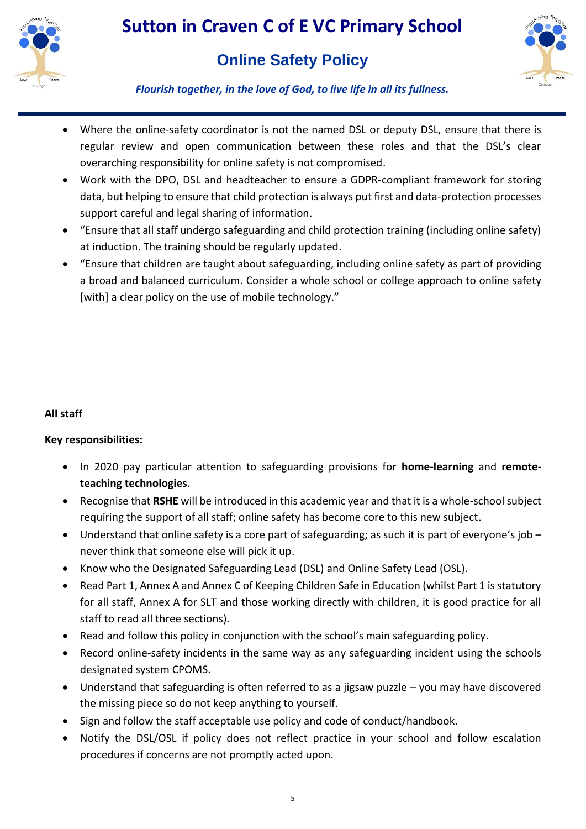

# **Online Safety Policy**



*Flourish together, in the love of God, to live life in all its fullness.*

- Where the online-safety coordinator is not the named DSL or deputy DSL, ensure that there is regular review and open communication between these roles and that the DSL's clear overarching responsibility for online safety is not compromised.
- Work with the DPO, DSL and headteacher to ensure a GDPR-compliant framework for storing data, but helping to ensure that child protection is always put first and data-protection processes support careful and legal sharing of information.
- "Ensure that all staff undergo safeguarding and child protection training (including online safety) at induction. The training should be regularly updated.
- "Ensure that children are taught about safeguarding, including online safety as part of providing a broad and balanced curriculum. Consider a whole school or college approach to online safety [with] a clear policy on the use of mobile technology."

## **All staff**

- In 2020 pay particular attention to safeguarding provisions for **home-learning** and **remoteteaching technologies**.
- Recognise that **RSHE** will be introduced in this academic year and that it is a whole-school subject requiring the support of all staff; online safety has become core to this new subject.
- $\bullet$  Understand that online safety is a core part of safeguarding; as such it is part of everyone's job never think that someone else will pick it up.
- Know who the Designated Safeguarding Lead (DSL) and Online Safety Lead (OSL).
- Read Part 1, Annex A and Annex C of Keeping Children Safe in Education (whilst Part 1 is statutory for all staff, Annex A for SLT and those working directly with children, it is good practice for all staff to read all three sections).
- Read and follow this policy in conjunction with the school's main safeguarding policy.
- Record online-safety incidents in the same way as any safeguarding incident using the schools designated system CPOMS.
- Understand that safeguarding is often referred to as a jigsaw puzzle you may have discovered the missing piece so do not keep anything to yourself.
- Sign and follow the staff acceptable use policy and code of conduct/handbook.
- Notify the DSL/OSL if policy does not reflect practice in your school and follow escalation procedures if concerns are not promptly acted upon.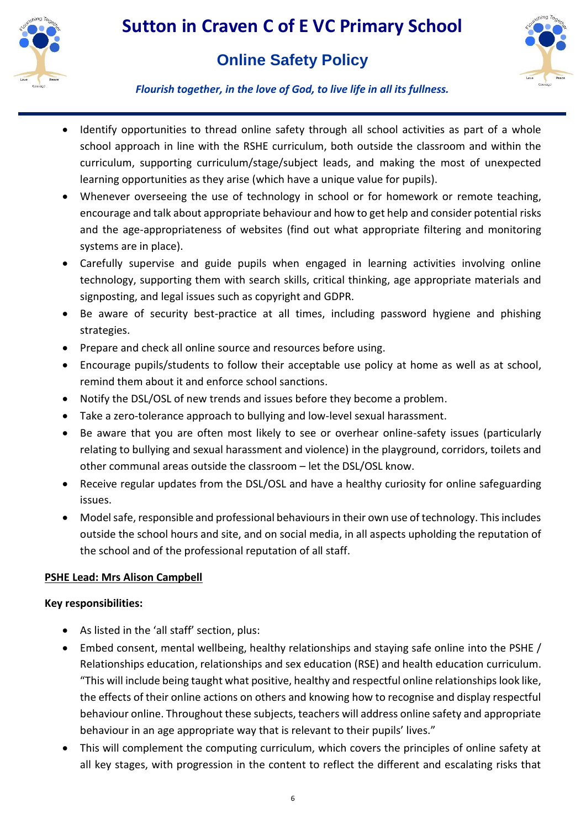

## **Online Safety Policy**



*Flourish together, in the love of God, to live life in all its fullness.*

- Identify opportunities to thread online safety through all school activities as part of a whole school approach in line with the RSHE curriculum, both outside the classroom and within the curriculum, supporting curriculum/stage/subject leads, and making the most of unexpected learning opportunities as they arise (which have a unique value for pupils).
- Whenever overseeing the use of technology in school or for homework or remote teaching, encourage and talk about appropriate behaviour and how to get help and consider potential risks and the age-appropriateness of websites (find out what appropriate filtering and monitoring systems are in place).
- Carefully supervise and guide pupils when engaged in learning activities involving online technology, supporting them with search skills, critical thinking, age appropriate materials and signposting, and legal issues such as copyright and GDPR.
- Be aware of security best-practice at all times, including password hygiene and phishing strategies.
- Prepare and check all online source and resources before using.
- Encourage pupils/students to follow their acceptable use policy at home as well as at school, remind them about it and enforce school sanctions.
- Notify the DSL/OSL of new trends and issues before they become a problem.
- Take a zero-tolerance approach to bullying and low-level sexual harassment.
- Be aware that you are often most likely to see or overhear online-safety issues (particularly relating to bullying and sexual harassment and violence) in the playground, corridors, toilets and other communal areas outside the classroom – let the DSL/OSL know.
- Receive regular updates from the DSL/OSL and have a healthy curiosity for online safeguarding issues.
- Model safe, responsible and professional behaviours in their own use of technology. This includes outside the school hours and site, and on social media, in all aspects upholding the reputation of the school and of the professional reputation of all staff.

## **PSHE Lead: Mrs Alison Campbell**

- As listed in the 'all staff' section, plus:
- Embed consent, mental wellbeing, healthy relationships and staying safe online into the PSHE / Relationships education, relationships and sex education (RSE) and health education curriculum. "This will include being taught what positive, healthy and respectful online relationships look like, the effects of their online actions on others and knowing how to recognise and display respectful behaviour online. Throughout these subjects, teachers will address online safety and appropriate behaviour in an age appropriate way that is relevant to their pupils' lives."
- This will complement the computing curriculum, which covers the principles of online safety at all key stages, with progression in the content to reflect the different and escalating risks that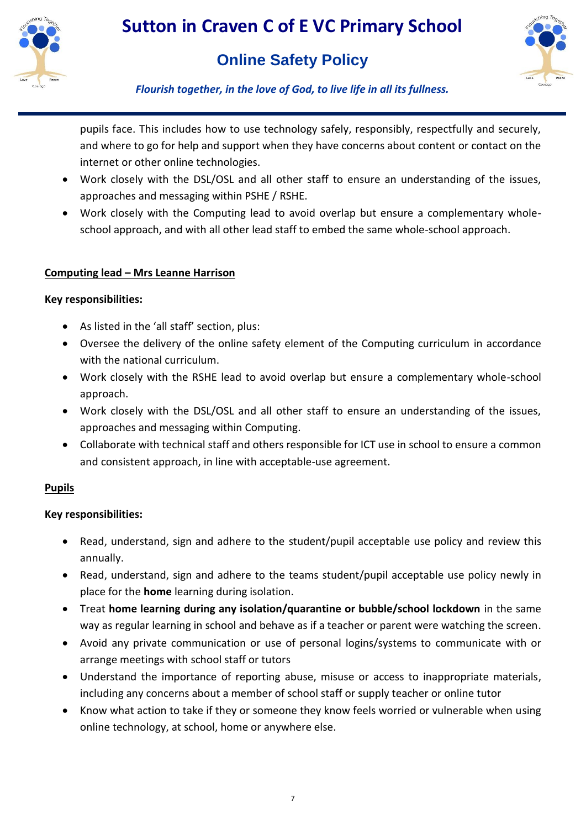

# **Online Safety Policy**



*Flourish together, in the love of God, to live life in all its fullness.*

pupils face. This includes how to use technology safely, responsibly, respectfully and securely, and where to go for help and support when they have concerns about content or contact on the internet or other online technologies.

- Work closely with the DSL/OSL and all other staff to ensure an understanding of the issues, approaches and messaging within PSHE / RSHE.
- Work closely with the Computing lead to avoid overlap but ensure a complementary wholeschool approach, and with all other lead staff to embed the same whole-school approach.

#### **Computing lead – Mrs Leanne Harrison**

#### **Key responsibilities:**

- As listed in the 'all staff' section, plus:
- Oversee the delivery of the online safety element of the Computing curriculum in accordance with the national curriculum.
- Work closely with the RSHE lead to avoid overlap but ensure a complementary whole-school approach.
- Work closely with the DSL/OSL and all other staff to ensure an understanding of the issues, approaches and messaging within Computing.
- Collaborate with technical staff and others responsible for ICT use in school to ensure a common and consistent approach, in line with acceptable-use agreement.

## **Pupils**

- Read, understand, sign and adhere to the student/pupil acceptable use policy and review this annually.
- Read, understand, sign and adhere to the teams student/pupil acceptable use policy newly in place for the **home** learning during isolation.
- Treat **home learning during any isolation/quarantine or bubble/school lockdown** in the same way as regular learning in school and behave as if a teacher or parent were watching the screen.
- Avoid any private communication or use of personal logins/systems to communicate with or arrange meetings with school staff or tutors
- Understand the importance of reporting abuse, misuse or access to inappropriate materials, including any concerns about a member of school staff or supply teacher or online tutor
- Know what action to take if they or someone they know feels worried or vulnerable when using online technology, at school, home or anywhere else.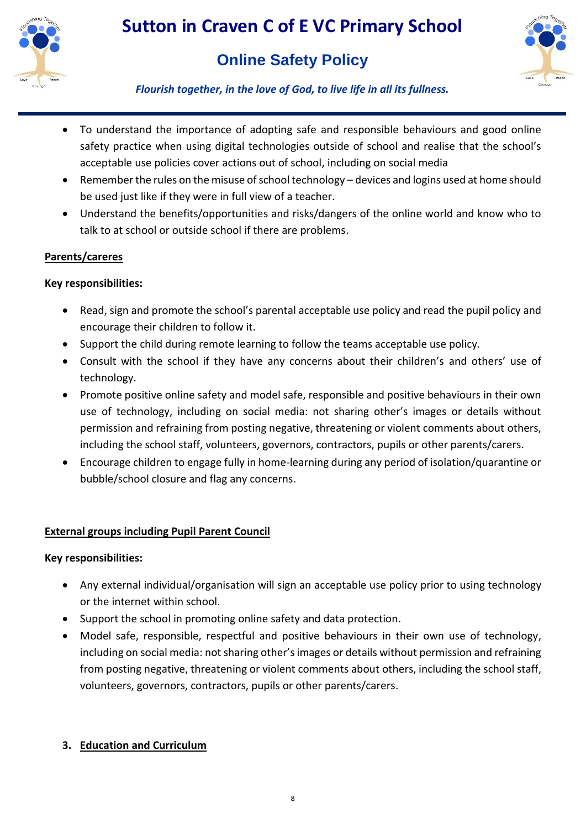

# **Online Safety Policy**



*Flourish together, in the love of God, to live life in all its fullness.*

- To understand the importance of adopting safe and responsible behaviours and good online safety practice when using digital technologies outside of school and realise that the school's acceptable use policies cover actions out of school, including on social media
- Remember the rules on the misuse of school technology devices and logins used at home should be used just like if they were in full view of a teacher.
- Understand the benefits/opportunities and risks/dangers of the online world and know who to talk to at school or outside school if there are problems.

## **Parents/careres**

#### **Key responsibilities:**

- Read, sign and promote the school's parental acceptable use policy and read the pupil policy and encourage their children to follow it.
- Support the child during remote learning to follow the teams acceptable use policy.
- Consult with the school if they have any concerns about their children's and others' use of technology.
- Promote positive online safety and model safe, responsible and positive behaviours in their own use of technology, including on social media: not sharing other's images or details without permission and refraining from posting negative, threatening or violent comments about others, including the school staff, volunteers, governors, contractors, pupils or other parents/carers.
- Encourage children to engage fully in home-learning during any period of isolation/quarantine or bubble/school closure and flag any concerns.

## **External groups including Pupil Parent Council**

#### **Key responsibilities:**

- Any external individual/organisation will sign an acceptable use policy prior to using technology or the internet within school.
- Support the school in promoting online safety and data protection.
- Model safe, responsible, respectful and positive behaviours in their own use of technology, including on social media: not sharing other's images or details without permission and refraining from posting negative, threatening or violent comments about others, including the school staff, volunteers, governors, contractors, pupils or other parents/carers.

## **3. Education and Curriculum**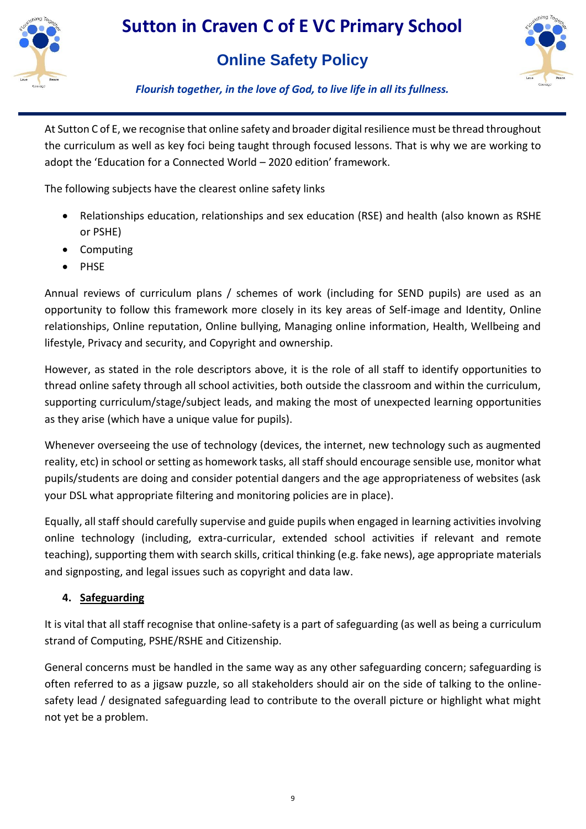

# **Online Safety Policy**



*Flourish together, in the love of God, to live life in all its fullness.*

At Sutton C of E, we recognise that online safety and broader digital resilience must be thread throughout the curriculum as well as key foci being taught through focused lessons. That is why we are working to adopt the 'Education for a Connected World – 2020 edition' framework.

The following subjects have the clearest online safety links

- Relationships education, relationships and sex education (RSE) and health (also known as RSHE or PSHE)
- Computing
- PHSE

Annual reviews of curriculum plans / schemes of work (including for SEND pupils) are used as an opportunity to follow this framework more closely in its key areas of Self-image and Identity, Online relationships, Online reputation, Online bullying, Managing online information, Health, Wellbeing and lifestyle, Privacy and security, and Copyright and ownership.

However, as stated in the role descriptors above, it is the role of all staff to identify opportunities to thread online safety through all school activities, both outside the classroom and within the curriculum, supporting curriculum/stage/subject leads, and making the most of unexpected learning opportunities as they arise (which have a unique value for pupils).

Whenever overseeing the use of technology (devices, the internet, new technology such as augmented reality, etc) in school or setting as homework tasks, all staff should encourage sensible use, monitor what pupils/students are doing and consider potential dangers and the age appropriateness of websites (ask your DSL what appropriate filtering and monitoring policies are in place).

Equally, all staff should carefully supervise and guide pupils when engaged in learning activities involving online technology (including, extra-curricular, extended school activities if relevant and remote teaching), supporting them with search skills, critical thinking (e.g. fake news), age appropriate materials and signposting, and legal issues such as copyright and data law.

## **4. Safeguarding**

It is vital that all staff recognise that online-safety is a part of safeguarding (as well as being a curriculum strand of Computing, PSHE/RSHE and Citizenship.

General concerns must be handled in the same way as any other safeguarding concern; safeguarding is often referred to as a jigsaw puzzle, so all stakeholders should air on the side of talking to the onlinesafety lead / designated safeguarding lead to contribute to the overall picture or highlight what might not yet be a problem.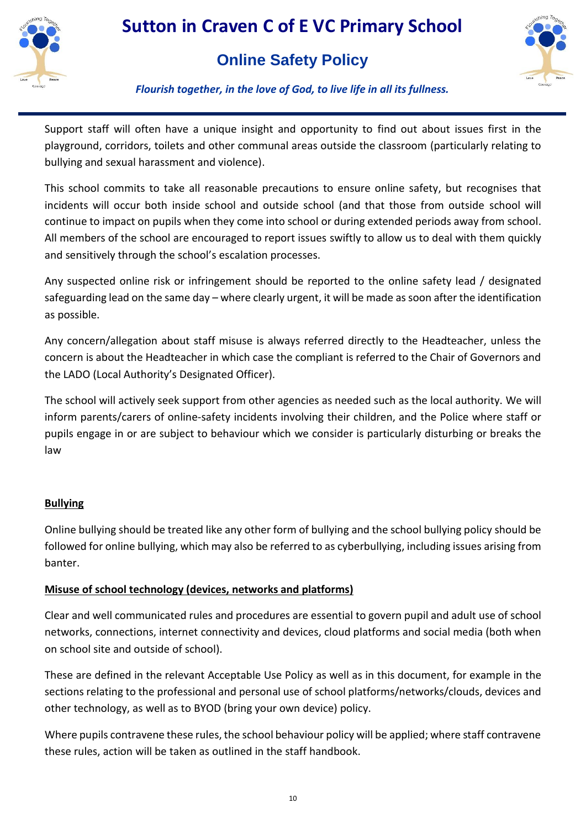

## **Online Safety Policy**



#### *Flourish together, in the love of God, to live life in all its fullness.*

Support staff will often have a unique insight and opportunity to find out about issues first in the playground, corridors, toilets and other communal areas outside the classroom (particularly relating to bullying and sexual harassment and violence).

This school commits to take all reasonable precautions to ensure online safety, but recognises that incidents will occur both inside school and outside school (and that those from outside school will continue to impact on pupils when they come into school or during extended periods away from school. All members of the school are encouraged to report issues swiftly to allow us to deal with them quickly and sensitively through the school's escalation processes.

Any suspected online risk or infringement should be reported to the online safety lead / designated safeguarding lead on the same day – where clearly urgent, it will be made as soon after the identification as possible.

Any concern/allegation about staff misuse is always referred directly to the Headteacher, unless the concern is about the Headteacher in which case the compliant is referred to the Chair of Governors and the LADO (Local Authority's Designated Officer).

The school will actively seek support from other agencies as needed such as the local authority. We will inform parents/carers of online-safety incidents involving their children, and the Police where staff or pupils engage in or are subject to behaviour which we consider is particularly disturbing or breaks the law

#### **Bullying**

Online bullying should be treated like any other form of bullying and the school bullying policy should be followed for online bullying, which may also be referred to as cyberbullying, including issues arising from banter.

#### **Misuse of school technology (devices, networks and platforms)**

Clear and well communicated rules and procedures are essential to govern pupil and adult use of school networks, connections, internet connectivity and devices, cloud platforms and social media (both when on school site and outside of school).

These are defined in the relevant Acceptable Use Policy as well as in this document, for example in the sections relating to the professional and personal use of school platforms/networks/clouds, devices and other technology, as well as to BYOD (bring your own device) policy.

Where pupils contravene these rules, the school behaviour policy will be applied; where staff contravene these rules, action will be taken as outlined in the staff handbook.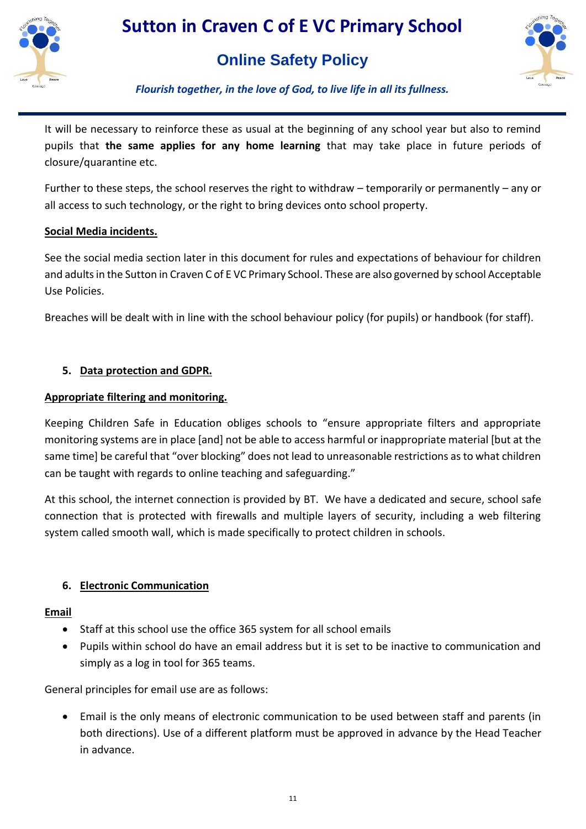

## **Online Safety Policy**



*Flourish together, in the love of God, to live life in all its fullness.*

It will be necessary to reinforce these as usual at the beginning of any school year but also to remind pupils that **the same applies for any home learning** that may take place in future periods of closure/quarantine etc.

Further to these steps, the school reserves the right to withdraw – temporarily or permanently – any or all access to such technology, or the right to bring devices onto school property.

#### **Social Media incidents.**

See the social media section later in this document for rules and expectations of behaviour for children and adults in the Sutton in Craven C of E VC Primary School. These are also governed by school Acceptable Use Policies.

Breaches will be dealt with in line with the school behaviour policy (for pupils) or handbook (for staff).

## **5. Data protection and GDPR.**

#### **Appropriate filtering and monitoring.**

Keeping Children Safe in Education obliges schools to "ensure appropriate filters and appropriate monitoring systems are in place [and] not be able to access harmful or inappropriate material [but at the same time] be careful that "over blocking" does not lead to unreasonable restrictions as to what children can be taught with regards to online teaching and safeguarding."

At this school, the internet connection is provided by BT. We have a dedicated and secure, school safe connection that is protected with firewalls and multiple layers of security, including a web filtering system called smooth wall, which is made specifically to protect children in schools.

## **6. Electronic Communication**

#### **Email**

- Staff at this school use the office 365 system for all school emails
- Pupils within school do have an email address but it is set to be inactive to communication and simply as a log in tool for 365 teams.

General principles for email use are as follows:

 Email is the only means of electronic communication to be used between staff and parents (in both directions). Use of a different platform must be approved in advance by the Head Teacher in advance.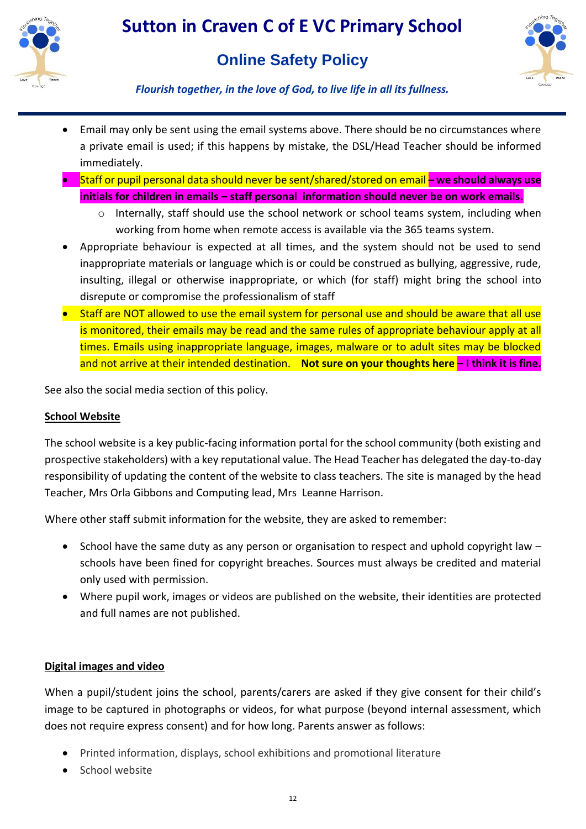



*Flourish together, in the love of God, to live life in all its fullness.*

- Email may only be sent using the email systems above. There should be no circumstances where a private email is used; if this happens by mistake, the DSL/Head Teacher should be informed immediately.
- Staff or pupil personal data should never be sent/shared/stored on email **– we should always use initials for children in emails – staff personal information should never be on work emails.** 
	- o Internally, staff should use the school network or school teams system, including when working from home when remote access is available via the 365 teams system.
- Appropriate behaviour is expected at all times, and the system should not be used to send inappropriate materials or language which is or could be construed as bullying, aggressive, rude, insulting, illegal or otherwise inappropriate, or which (for staff) might bring the school into disrepute or compromise the professionalism of staff
- Staff are NOT allowed to use the email system for personal use and should be aware that all use is monitored, their emails may be read and the same rules of appropriate behaviour apply at all times. Emails using inappropriate language, images, malware or to adult sites may be blocked and not arrive at their intended destination. **Not sure on your thoughts here – I think it is fine.**

See also the social media section of this policy.

#### **School Website**

The school website is a key public-facing information portal for the school community (both existing and prospective stakeholders) with a key reputational value. The Head Teacher has delegated the day-to-day responsibility of updating the content of the website to class teachers. The site is managed by the head Teacher, Mrs Orla Gibbons and Computing lead, Mrs Leanne Harrison.

Where other staff submit information for the website, they are asked to remember:

- $\bullet$  School have the same duty as any person or organisation to respect and uphold copyright law  $$ schools have been fined for copyright breaches. Sources must always be credited and material only used with permission.
- Where pupil work, images or videos are published on the website, their identities are protected and full names are not published.

#### **Digital images and video**

When a pupil/student joins the school, parents/carers are asked if they give consent for their child's image to be captured in photographs or videos, for what purpose (beyond internal assessment, which does not require express consent) and for how long. Parents answer as follows:

- Printed information, displays, school exhibitions and promotional literature
- School website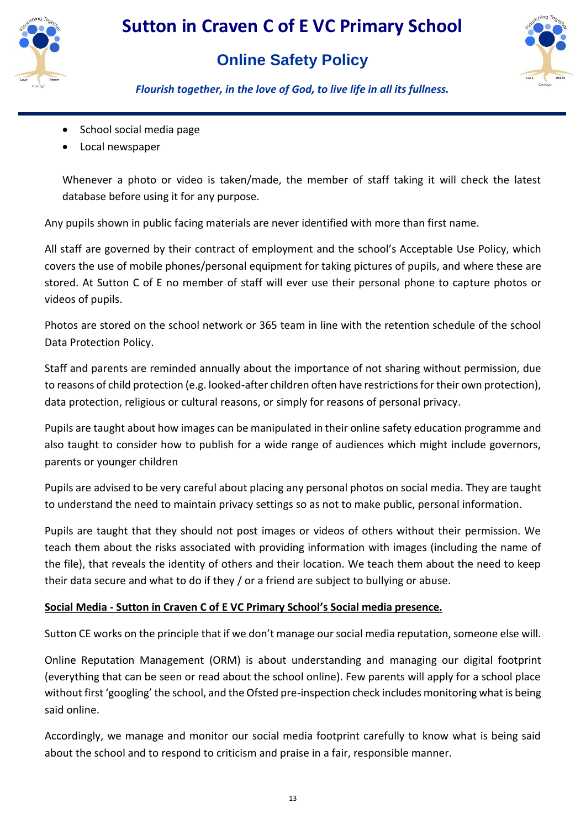

## **Online Safety Policy**



*Flourish together, in the love of God, to live life in all its fullness.*

- School social media page
- Local newspaper

Whenever a photo or video is taken/made, the member of staff taking it will check the latest database before using it for any purpose.

Any pupils shown in public facing materials are never identified with more than first name.

All staff are governed by their contract of employment and the school's Acceptable Use Policy, which covers the use of mobile phones/personal equipment for taking pictures of pupils, and where these are stored. At Sutton C of E no member of staff will ever use their personal phone to capture photos or videos of pupils.

Photos are stored on the school network or 365 team in line with the retention schedule of the school Data Protection Policy.

Staff and parents are reminded annually about the importance of not sharing without permission, due to reasons of child protection (e.g. looked-after children often have restrictions for their own protection), data protection, religious or cultural reasons, or simply for reasons of personal privacy.

Pupils are taught about how images can be manipulated in their online safety education programme and also taught to consider how to publish for a wide range of audiences which might include governors, parents or younger children

Pupils are advised to be very careful about placing any personal photos on social media. They are taught to understand the need to maintain privacy settings so as not to make public, personal information.

Pupils are taught that they should not post images or videos of others without their permission. We teach them about the risks associated with providing information with images (including the name of the file), that reveals the identity of others and their location. We teach them about the need to keep their data secure and what to do if they / or a friend are subject to bullying or abuse.

## **Social Media - Sutton in Craven C of E VC Primary School's Social media presence.**

Sutton CE works on the principle that if we don't manage our social media reputation, someone else will.

Online Reputation Management (ORM) is about understanding and managing our digital footprint (everything that can be seen or read about the school online). Few parents will apply for a school place without first 'googling' the school, and the Ofsted pre-inspection check includes monitoring what is being said online.

Accordingly, we manage and monitor our social media footprint carefully to know what is being said about the school and to respond to criticism and praise in a fair, responsible manner.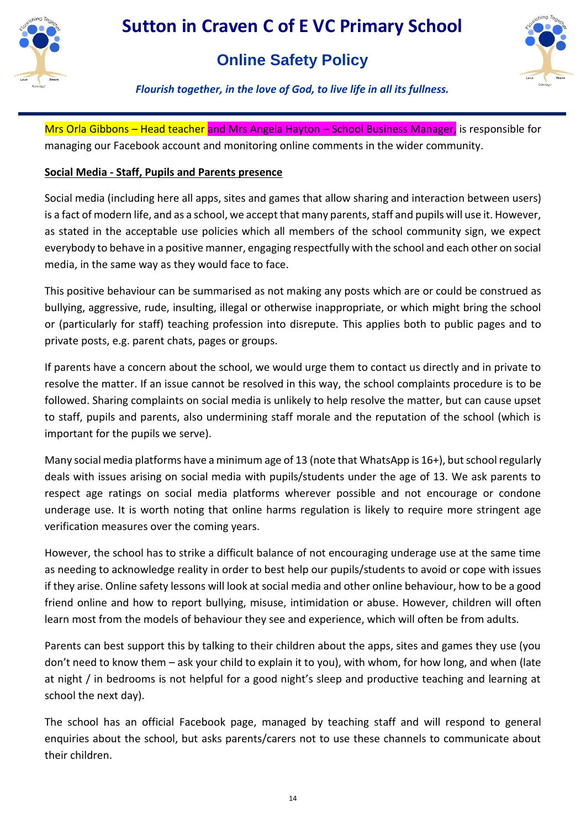



*Flourish together, in the love of God, to live life in all its fullness.*

Mrs Orla Gibbons – Head teacher and Mrs Angela Hayton – School Business Manager, is responsible for managing our Facebook account and monitoring online comments in the wider community.

## **Social Media - Staff, Pupils and Parents presence**

Social media (including here all apps, sites and games that allow sharing and interaction between users) is a fact of modern life, and as a school, we accept that many parents, staff and pupils will use it. However, as stated in the acceptable use policies which all members of the school community sign, we expect everybody to behave in a positive manner, engaging respectfully with the school and each other on social media, in the same way as they would face to face.

This positive behaviour can be summarised as not making any posts which are or could be construed as bullying, aggressive, rude, insulting, illegal or otherwise inappropriate, or which might bring the school or (particularly for staff) teaching profession into disrepute. This applies both to public pages and to private posts, e.g. parent chats, pages or groups.

If parents have a concern about the school, we would urge them to contact us directly and in private to resolve the matter. If an issue cannot be resolved in this way, the school complaints procedure is to be followed. Sharing complaints on social media is unlikely to help resolve the matter, but can cause upset to staff, pupils and parents, also undermining staff morale and the reputation of the school (which is important for the pupils we serve).

Many social media platforms have a minimum age of 13 (note that WhatsApp is 16+), but school regularly deals with issues arising on social media with pupils/students under the age of 13. We ask parents to respect age ratings on social media platforms wherever possible and not encourage or condone underage use. It is worth noting that online harms regulation is likely to require more stringent age verification measures over the coming years.

However, the school has to strike a difficult balance of not encouraging underage use at the same time as needing to acknowledge reality in order to best help our pupils/students to avoid or cope with issues if they arise. Online safety lessons will look at social media and other online behaviour, how to be a good friend online and how to report bullying, misuse, intimidation or abuse. However, children will often learn most from the models of behaviour they see and experience, which will often be from adults.

Parents can best support this by talking to their children about the apps, sites and games they use (you don't need to know them – ask your child to explain it to you), with whom, for how long, and when (late at night / in bedrooms is not helpful for a good night's sleep and productive teaching and learning at school the next day).

The school has an official Facebook page, managed by teaching staff and will respond to general enquiries about the school, but asks parents/carers not to use these channels to communicate about their children.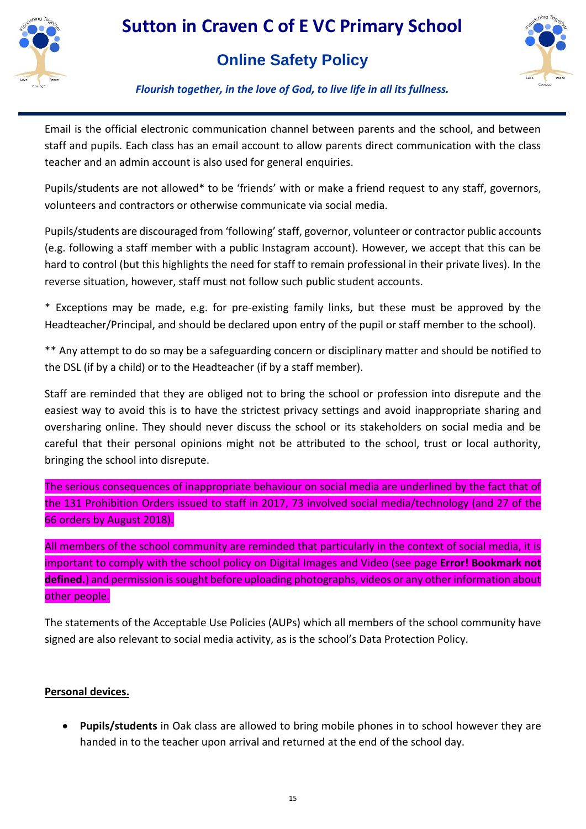

## **Online Safety Policy**



*Flourish together, in the love of God, to live life in all its fullness.*

Email is the official electronic communication channel between parents and the school, and between staff and pupils. Each class has an email account to allow parents direct communication with the class teacher and an admin account is also used for general enquiries.

Pupils/students are not allowed\* to be 'friends' with or make a friend request to any staff, governors, volunteers and contractors or otherwise communicate via social media.

Pupils/students are discouraged from 'following' staff, governor, volunteer or contractor public accounts (e.g. following a staff member with a public Instagram account). However, we accept that this can be hard to control (but this highlights the need for staff to remain professional in their private lives). In the reverse situation, however, staff must not follow such public student accounts.

\* Exceptions may be made, e.g. for pre-existing family links, but these must be approved by the Headteacher/Principal, and should be declared upon entry of the pupil or staff member to the school).

\*\* Any attempt to do so may be a safeguarding concern or disciplinary matter and should be notified to the DSL (if by a child) or to the Headteacher (if by a staff member).

Staff are reminded that they are obliged not to bring the school or profession into disrepute and the easiest way to avoid this is to have the strictest privacy settings and avoid inappropriate sharing and oversharing online. They should never discuss the school or its stakeholders on social media and be careful that their personal opinions might not be attributed to the school, trust or local authority, bringing the school into disrepute.

The serious consequences of inappropriate behaviour on social media are underlined by the fact that of the 131 Prohibition Orders issued to staff in 2017, 73 involved social media/technology (and 27 of the 66 orders by August 2018).

All members of the school community are reminded that particularly in the context of social media, it is important to comply with the school policy on Digital Images and Video (see page **Error! Bookmark not defined.**) and permission is sought before uploading photographs, videos or any other information about other people.

The statements of the Acceptable Use Policies (AUPs) which all members of the school community have signed are also relevant to social media activity, as is the school's Data Protection Policy.

## **Personal devices.**

 **Pupils/students** in Oak class are allowed to bring mobile phones in to school however they are handed in to the teacher upon arrival and returned at the end of the school day.